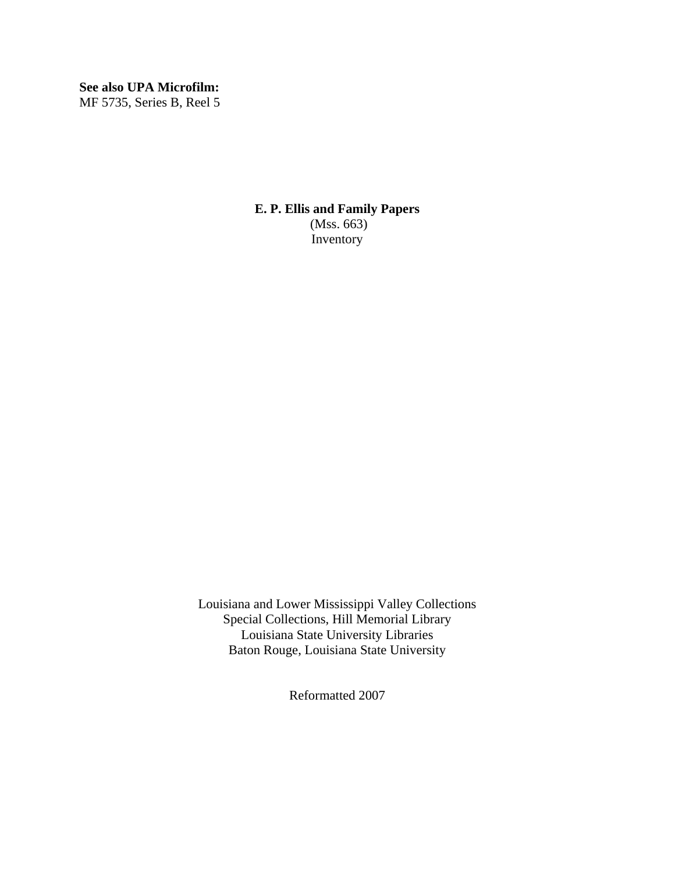**See also UPA Microfilm:**  MF 5735, Series B, Reel 5

> **E. P. Ellis and Family Papers** (Mss. 663) Inventory

Louisiana and Lower Mississippi Valley Collections Special Collections, Hill Memorial Library Louisiana State University Libraries Baton Rouge, Louisiana State University

Reformatted 2007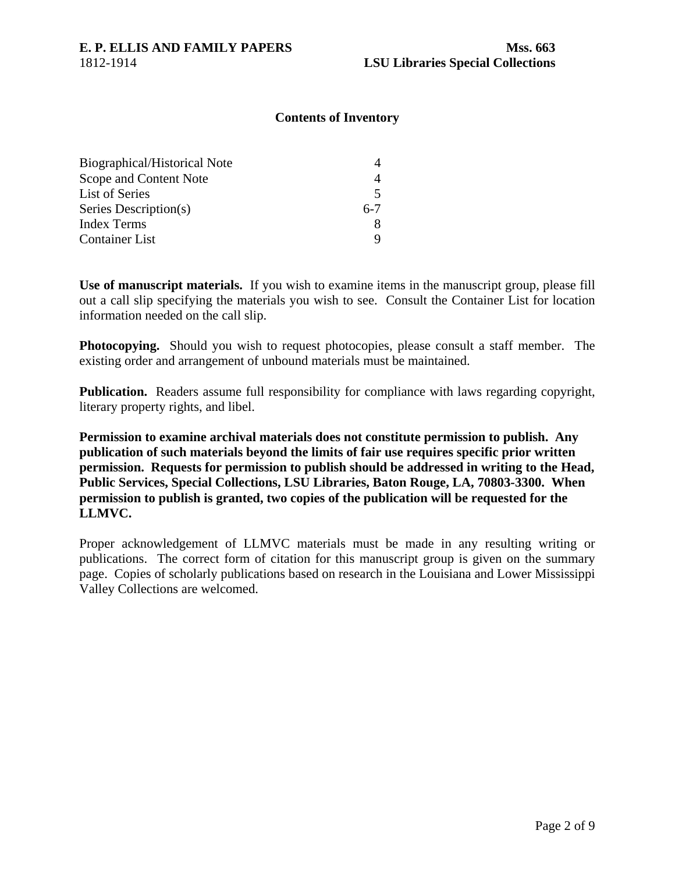#### **Contents of Inventory**

| Biographical/Historical Note |                          |
|------------------------------|--------------------------|
| Scope and Content Note       |                          |
| <b>List of Series</b>        | $\overline{\mathcal{L}}$ |
| Series Description(s)        | $6 - 7$                  |
| <b>Index Terms</b>           |                          |
| <b>Container List</b>        |                          |

**Use of manuscript materials.** If you wish to examine items in the manuscript group, please fill out a call slip specifying the materials you wish to see. Consult the Container List for location information needed on the call slip.

**Photocopying.** Should you wish to request photocopies, please consult a staff member. The existing order and arrangement of unbound materials must be maintained.

**Publication.** Readers assume full responsibility for compliance with laws regarding copyright, literary property rights, and libel.

**Permission to examine archival materials does not constitute permission to publish. Any publication of such materials beyond the limits of fair use requires specific prior written permission. Requests for permission to publish should be addressed in writing to the Head, Public Services, Special Collections, LSU Libraries, Baton Rouge, LA, 70803-3300. When permission to publish is granted, two copies of the publication will be requested for the LLMVC.** 

Proper acknowledgement of LLMVC materials must be made in any resulting writing or publications. The correct form of citation for this manuscript group is given on the summary page. Copies of scholarly publications based on research in the Louisiana and Lower Mississippi Valley Collections are welcomed.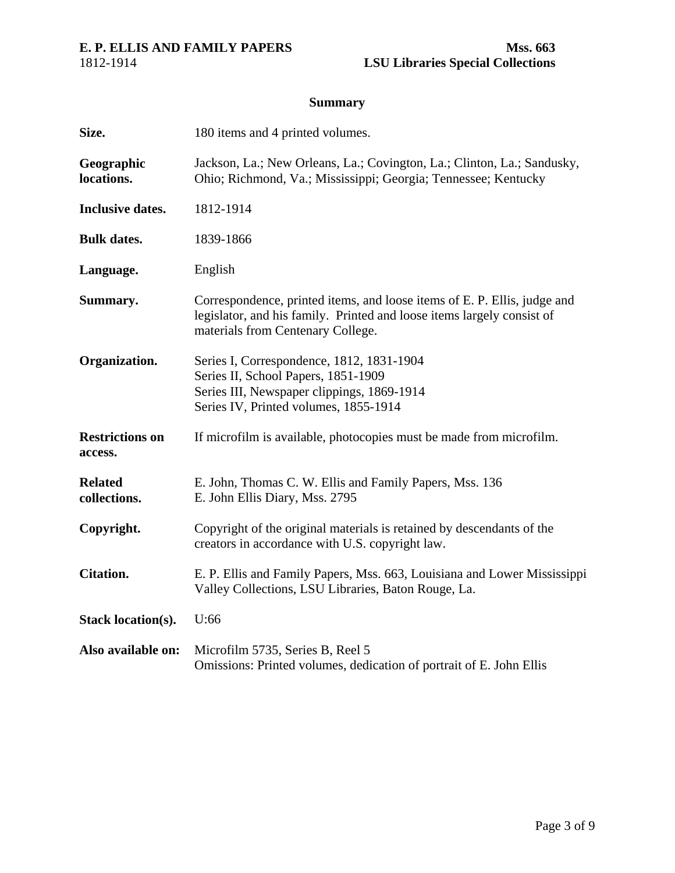# **E. P. ELLIS AND FAMILY PAPERS** Mss. 663<br>1812-1914 **LSU Libraries Special Collections**

## **Summary**

| Size.                             | 180 items and 4 printed volumes.                                                                                                                                                        |  |  |
|-----------------------------------|-----------------------------------------------------------------------------------------------------------------------------------------------------------------------------------------|--|--|
| Geographic<br>locations.          | Jackson, La.; New Orleans, La.; Covington, La.; Clinton, La.; Sandusky,<br>Ohio; Richmond, Va.; Mississippi; Georgia; Tennessee; Kentucky                                               |  |  |
| Inclusive dates.                  | 1812-1914                                                                                                                                                                               |  |  |
| <b>Bulk dates.</b>                | 1839-1866                                                                                                                                                                               |  |  |
| Language.                         | English                                                                                                                                                                                 |  |  |
| Summary.                          | Correspondence, printed items, and loose items of E. P. Ellis, judge and<br>legislator, and his family. Printed and loose items largely consist of<br>materials from Centenary College. |  |  |
| Organization.                     | Series I, Correspondence, 1812, 1831-1904<br>Series II, School Papers, 1851-1909<br>Series III, Newspaper clippings, 1869-1914<br>Series IV, Printed volumes, 1855-1914                 |  |  |
| <b>Restrictions on</b><br>access. | If microfilm is available, photocopies must be made from microfilm.                                                                                                                     |  |  |
| <b>Related</b><br>collections.    | E. John, Thomas C. W. Ellis and Family Papers, Mss. 136<br>E. John Ellis Diary, Mss. 2795                                                                                               |  |  |
| Copyright.                        | Copyright of the original materials is retained by descendants of the<br>creators in accordance with U.S. copyright law.                                                                |  |  |
| <b>Citation.</b>                  | E. P. Ellis and Family Papers, Mss. 663, Louisiana and Lower Mississippi<br>Valley Collections, LSU Libraries, Baton Rouge, La.                                                         |  |  |
| <b>Stack location(s).</b>         | U:66                                                                                                                                                                                    |  |  |
| Also available on:                | Microfilm 5735, Series B, Reel 5<br>Omissions: Printed volumes, dedication of portrait of E. John Ellis                                                                                 |  |  |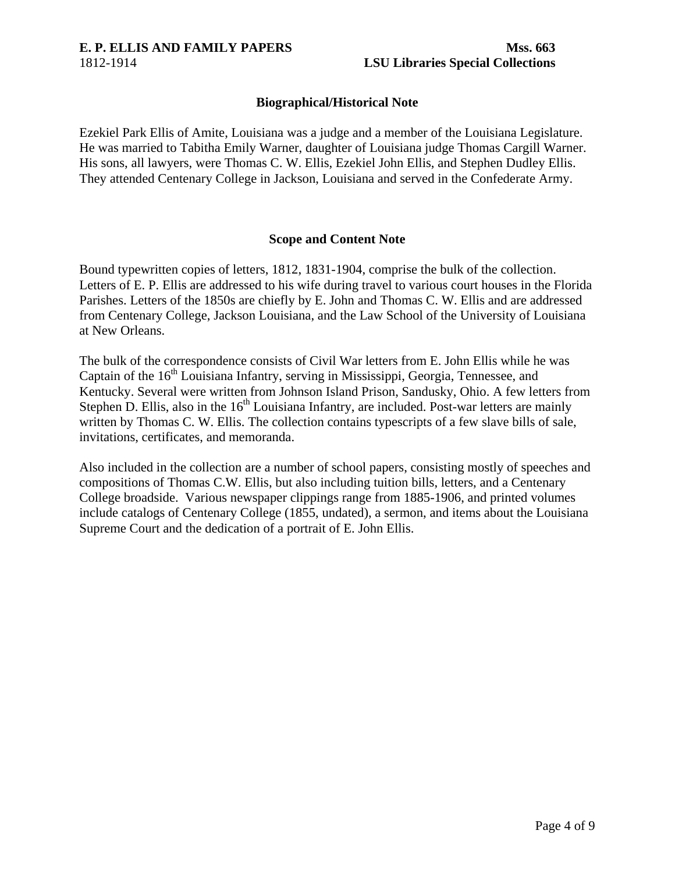#### <span id="page-3-0"></span>**E. P. ELLIS AND FAMILY PAPERS MSS. 663** 1812-1914 **LSU Libraries Special Collections**

#### **Biographical/Historical Note**

Ezekiel Park Ellis of Amite, Louisiana was a judge and a member of the Louisiana Legislature. He was married to Tabitha Emily Warner, daughter of Louisiana judge Thomas Cargill Warner. His sons, all lawyers, were Thomas C. W. Ellis, Ezekiel John Ellis, and Stephen Dudley Ellis. They attended Centenary College in Jackson, Louisiana and served in the Confederate Army.

#### **Scope and Content Note**

Bound typewritten copies of letters, 1812, 1831-1904, comprise the bulk of the collection. Letters of E. P. Ellis are addressed to his wife during travel to various court houses in the Florida Parishes. Letters of the 1850s are chiefly by E. John and Thomas C. W. Ellis and are addressed from Centenary College, Jackson Louisiana, and the Law School of the University of Louisiana at New Orleans.

The bulk of the correspondence consists of Civil War letters from E. John Ellis while he was Captain of the 16<sup>th</sup> Louisiana Infantry, serving in Mississippi, Georgia, Tennessee, and Kentucky. Several were written from Johnson Island Prison, Sandusky, Ohio. A few letters from Stephen D. Ellis, also in the  $16<sup>th</sup>$  Louisiana Infantry, are included. Post-war letters are mainly written by Thomas C. W. Ellis. The collection contains typescripts of a few slave bills of sale, invitations, certificates, and memoranda.

Also included in the collection are a number of school papers, consisting mostly of speeches and compositions of Thomas C.W. Ellis, but also including tuition bills, letters, and a Centenary College broadside. Various newspaper clippings range from 1885-1906, and printed volumes include catalogs of Centenary College (1855, undated), a sermon, and items about the Louisiana Supreme Court and the dedication of a portrait of E. John Ellis.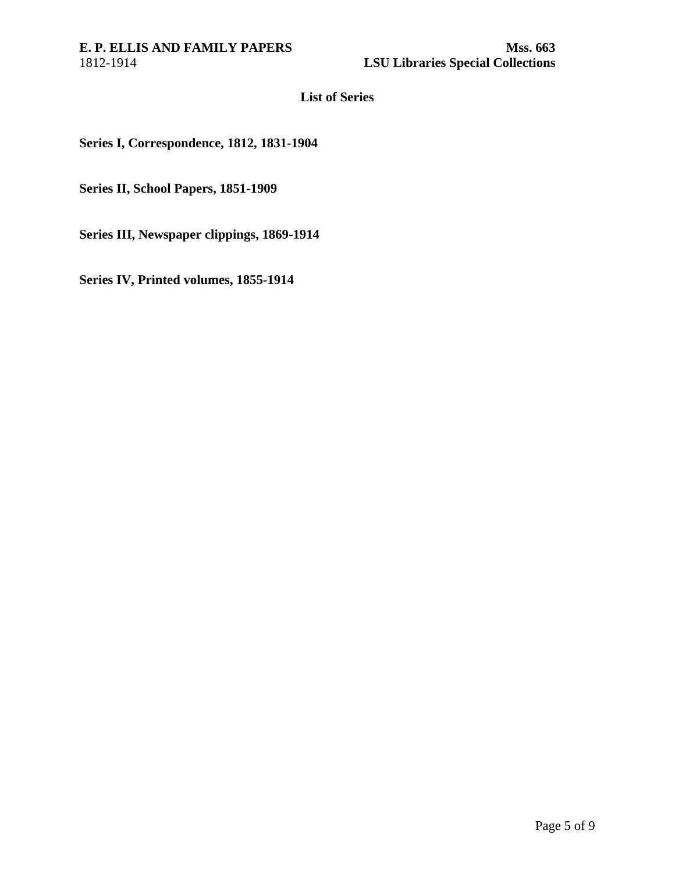#### **List of Series**

<span id="page-4-0"></span>**Series I, Correspondence, 1812, 1831-1904** 

**Series II, School Papers, 1851-1909** 

**Series III, Newspaper clippings, 1869-1914** 

**Series IV, Printed volumes, 1855-1914**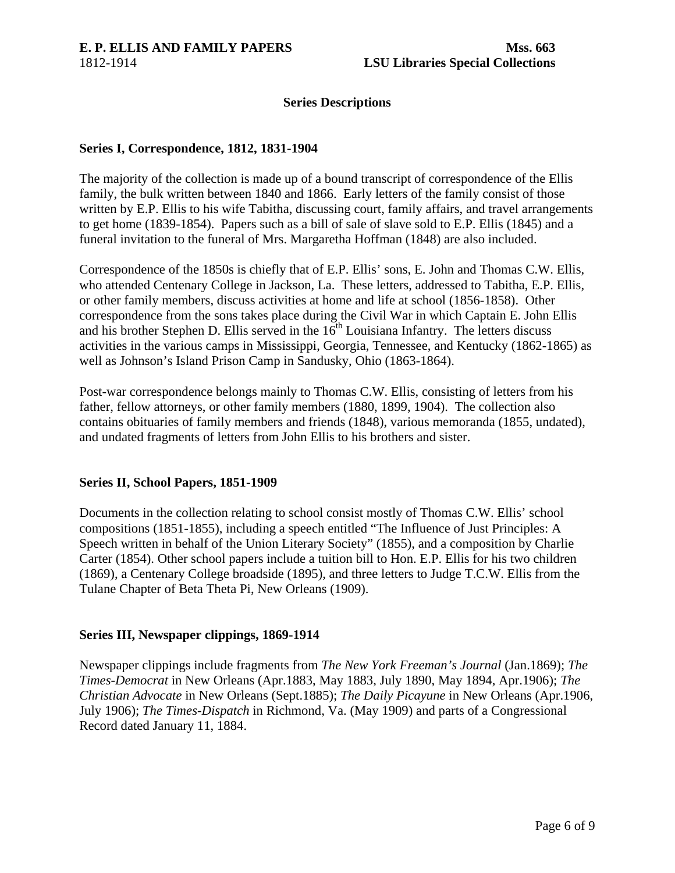#### **Series Descriptions**

#### <span id="page-5-0"></span>**Series I, Correspondence, 1812, 1831-1904**

The majority of the collection is made up of a bound transcript of correspondence of the Ellis family, the bulk written between 1840 and 1866. Early letters of the family consist of those written by E.P. Ellis to his wife Tabitha, discussing court, family affairs, and travel arrangements to get home (1839-1854). Papers such as a bill of sale of slave sold to E.P. Ellis (1845) and a funeral invitation to the funeral of Mrs. Margaretha Hoffman (1848) are also included.

Correspondence of the 1850s is chiefly that of E.P. Ellis' sons, E. John and Thomas C.W. Ellis, who attended Centenary College in Jackson, La. These letters, addressed to Tabitha, E.P. Ellis, or other family members, discuss activities at home and life at school (1856-1858). Other correspondence from the sons takes place during the Civil War in which Captain E. John Ellis and his brother Stephen D. Ellis served in the  $16<sup>th</sup>$  Louisiana Infantry. The letters discuss activities in the various camps in Mississippi, Georgia, Tennessee, and Kentucky (1862-1865) as well as Johnson's Island Prison Camp in Sandusky, Ohio (1863-1864).

Post-war correspondence belongs mainly to Thomas C.W. Ellis, consisting of letters from his father, fellow attorneys, or other family members (1880, 1899, 1904). The collection also contains obituaries of family members and friends (1848), various memoranda (1855, undated), and undated fragments of letters from John Ellis to his brothers and sister.

#### **Series II, School Papers, 1851-1909**

Documents in the collection relating to school consist mostly of Thomas C.W. Ellis' school compositions (1851-1855), including a speech entitled "The Influence of Just Principles: A Speech written in behalf of the Union Literary Society" (1855), and a composition by Charlie Carter (1854). Other school papers include a tuition bill to Hon. E.P. Ellis for his two children (1869), a Centenary College broadside (1895), and three letters to Judge T.C.W. Ellis from the Tulane Chapter of Beta Theta Pi, New Orleans (1909).

#### **Series III, Newspaper clippings, 1869-1914**

Newspaper clippings include fragments from *The New York Freeman's Journal* (Jan.1869); *The Times-Democrat* in New Orleans (Apr.1883, May 1883, July 1890, May 1894, Apr.1906); *The Christian Advocate* in New Orleans (Sept.1885); *The Daily Picayune* in New Orleans (Apr.1906, July 1906); *The Times-Dispatch* in Richmond, Va. (May 1909) and parts of a Congressional Record dated January 11, 1884.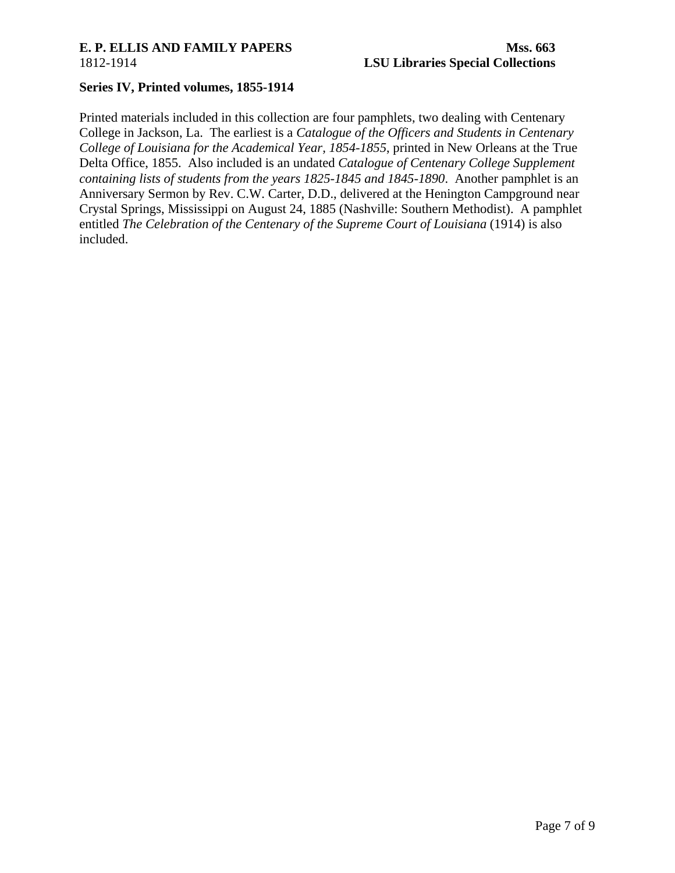#### **Series IV, Printed volumes, 1855-1914**

Printed materials included in this collection are four pamphlets, two dealing with Centenary College in Jackson, La. The earliest is a *Catalogue of the Officers and Students in Centenary College of Louisiana for the Academical Year, 1854-1855*, printed in New Orleans at the True Delta Office, 1855. Also included is an undated *Catalogue of Centenary College Supplement containing lists of students from the years 1825-1845 and 1845-1890*. Another pamphlet is an Anniversary Sermon by Rev. C.W. Carter, D.D., delivered at the Henington Campground near Crystal Springs, Mississippi on August 24, 1885 (Nashville: Southern Methodist). A pamphlet entitled *The Celebration of the Centenary of the Supreme Court of Louisiana* (1914) is also included.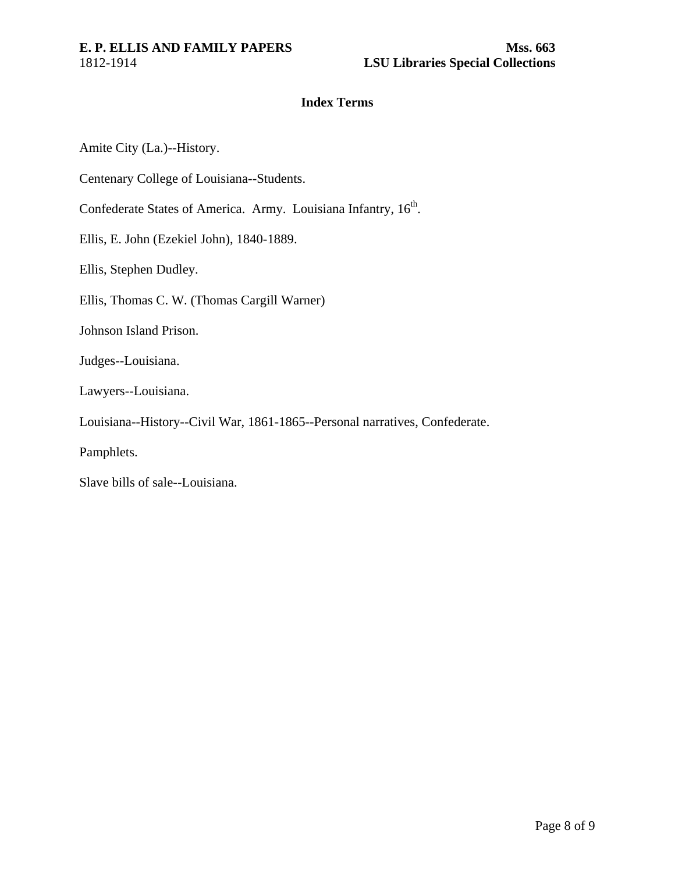### **Index Terms**

<span id="page-7-0"></span>Amite City (La.)--History.

Centenary College of Louisiana--Students.

Confederate States of America. Army. Louisiana Infantry, 16<sup>th</sup>.

Ellis, E. John (Ezekiel John), 1840-1889.

Ellis, Stephen Dudley.

Ellis, Thomas C. W. (Thomas Cargill Warner)

Johnson Island Prison.

Judges--Louisiana.

Lawyers--Louisiana.

Louisiana--History--Civil War, 1861-1865--Personal narratives, Confederate.

Pamphlets.

Slave bills of sale--Louisiana.